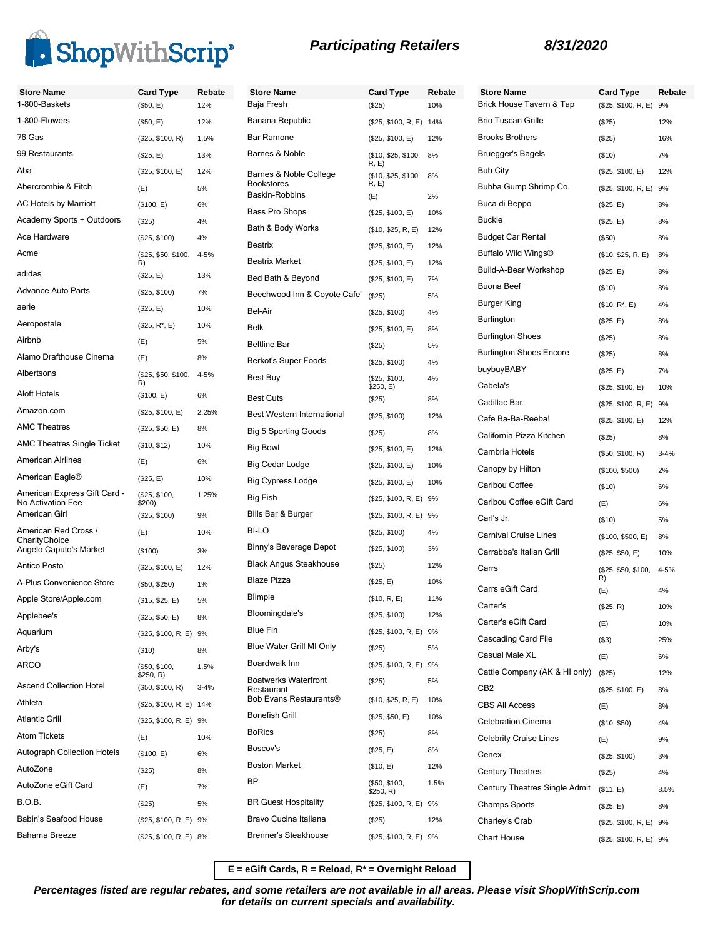

| <b>Store Name</b>                                 | <b>Card Type</b>              | Rebate   | <b>Store Name</b>                         | <b>Card Type</b>            | Rebate | <b>Store Name</b>                |
|---------------------------------------------------|-------------------------------|----------|-------------------------------------------|-----------------------------|--------|----------------------------------|
| 1-800-Baskets                                     | (\$50, E)                     | 12%      | Baja Fresh                                | (\$25)                      | 10%    | <b>Brick House T</b>             |
| 1-800-Flowers                                     | (\$50, E)                     | 12%      | Banana Republic                           | (\$25, \$100, R, E) 14%     |        | <b>Brio Tuscan G</b>             |
| 76 Gas                                            | (\$25, \$100, R)              | 1.5%     | Bar Ramone                                | (\$25, \$100, E)            | 12%    | Brooks Brothe                    |
| 99 Restaurants                                    | (\$25, E)                     | 13%      | Barnes & Noble                            | (\$10, \$25, \$100,<br>R, E | 8%     | Bruegger's Ba                    |
| Aba                                               | (\$25, \$100, E)              | 12%      | Barnes & Noble College                    | (\$10, \$25, \$100,         | 8%     | <b>Bub City</b>                  |
| Abercrombie & Fitch                               | (E)                           | 5%       | <b>Bookstores</b><br>Baskin-Robbins       | R, E)                       |        | <b>Bubba Gump</b>                |
| <b>AC Hotels by Marriott</b>                      | (\$100, E)                    | 6%       | Bass Pro Shops                            | (E)                         | 2%     | Buca di Beppo                    |
| Academy Sports + Outdoors                         | (\$25)                        | 4%       | Bath & Body Works                         | (\$25, \$100, E)            | 10%    | <b>Buckle</b>                    |
| Ace Hardware                                      | (\$25, \$100)                 | 4%       |                                           | (\$10, \$25, R, E)          | 12%    | <b>Budget Car Re</b>             |
| Acme                                              | (\$25, \$50, \$100,           | 4-5%     | <b>Beatrix</b><br><b>Beatrix Market</b>   | (\$25, \$100, E)            | 12%    | Buffalo Wild W                   |
| adidas                                            | R)<br>(\$25, E)               | 13%      | Bed Bath & Beyond                         | (\$25, \$100, E)            | 12%    | Build-A-Bear \                   |
| <b>Advance Auto Parts</b>                         | (\$25, \$100)                 | 7%       |                                           | (\$25, \$100, E)            | 7%     | Buona Beef                       |
| aerie                                             | (\$25, E)                     | 10%      | Beechwood Inn & Coyote Cafe'<br>Bel-Air   | (\$25)                      | 5%     | Burger King                      |
| Aeropostale                                       | $($25, R^*, E)$               | 10%      | <b>Belk</b>                               | (\$25, \$100)               | 4%     | Burlington                       |
| Airbnb                                            | (E)                           | 5%       |                                           | (\$25, \$100, E)            | 8%     | <b>Burlington Sho</b>            |
| Alamo Drafthouse Cinema                           | (E)                           | 8%       | <b>Beltline Bar</b>                       | (\$25)                      | 5%     | <b>Burlington Sho</b>            |
| Albertsons                                        | (\$25, \$50, \$100,           | $4 - 5%$ | Berkot's Super Foods                      | (\$25, \$100)               | 4%     | buybuyBABY                       |
|                                                   | R)                            |          | Best Buy                                  | (\$25, \$100,<br>\$250, E)  | 4%     | Cabela's                         |
| <b>Aloft Hotels</b>                               | (\$100, E)                    | 6%       | <b>Best Cuts</b>                          | (\$25)                      | 8%     | Cadillac Bar                     |
| Amazon.com                                        | (\$25, \$100, E)              | 2.25%    | Best Western International                | (\$25, \$100)               | 12%    | Cafe Ba-Ba-R                     |
| <b>AMC Theatres</b>                               | (\$25, \$50, E)               | 8%       | <b>Big 5 Sporting Goods</b>               | (\$25)                      | 8%     | California Pizz                  |
| <b>AMC Theatres Single Ticket</b>                 | (\$10, \$12)                  | 10%      | Big Bowl                                  | (\$25, \$100, E)            | 12%    | Cambria Hotel                    |
| <b>American Airlines</b>                          | (E)                           | 6%       | Big Cedar Lodge                           | (\$25, \$100, E)            | 10%    | Canopy by Hil                    |
| American Eagle®                                   | (\$25, E)                     | 10%      | <b>Big Cypress Lodge</b>                  | (\$25, \$100, E)            | 10%    | Caribou Coffe                    |
| American Express Gift Card -<br>No Activation Fee | (\$25, \$100,<br>\$200)       | 1.25%    | Big Fish                                  | (\$25, \$100, R, E) 9%      |        | Caribou Coffe                    |
| American Girl                                     | (\$25, \$100)                 | 9%       | Bills Bar & Burger                        | (\$25, \$100, R, E) 9%      |        | Carl's Jr.                       |
| American Red Cross /                              | (E)                           | 10%      | BI-LO                                     | (\$25, \$100)               | 4%     | Carnival Cruis                   |
| CharityChoice<br>Angelo Caputo's Market           | (\$100)                       | 3%       | Binny's Beverage Depot                    | (\$25, \$100)               | 3%     | Carrabba's Ita                   |
| <b>Antico Posto</b>                               | (\$25, \$100, E)              | 12%      | <b>Black Angus Steakhouse</b>             | (\$25)                      | 12%    | Carrs                            |
| A-Plus Convenience Store                          | $($ \$50, \$250)              | 1%       | <b>Blaze Pizza</b>                        | (\$25, E)                   | 10%    | Carrs eGift Ca                   |
| Apple Store/Apple.com                             | (\$15, \$25, E)               | 5%       | <b>Blimpie</b>                            | (\$10, R, E)                | 11%    | Carter's                         |
| Applebee's                                        | (\$25, \$50, E)               | 8%       | Bloomingdale's                            | (\$25, \$100)               | 12%    |                                  |
| Aquarium                                          | (\$25, \$100, R, E) 9%        |          | Blue Fin                                  | (\$25, \$100, R, E) 9%      |        | Carter's eGift                   |
| Arby's                                            | (\$10)                        | 8%       | Blue Water Grill MI Only                  | (\$25)                      | 5%     | Cascading Ca<br>Casual Male >    |
| ARCO                                              | (\$50, \$100,                 | 1.5%     | Boardwalk Inn                             | (\$25, \$100, R, E) 9%      |        |                                  |
| <b>Ascend Collection Hotel</b>                    | \$250, R)<br>(\$50, \$100, R) | $3 - 4%$ | <b>Boatwerks Waterfront</b><br>Restaurant | (\$25)                      | 5%     | Cattle Compar<br>CB <sub>2</sub> |
| Athleta                                           | (\$25, \$100, R, E) 14%       |          | Bob Evans Restaurants®                    | (\$10, \$25, R, E)          | 10%    | <b>CBS All Acces</b>             |
| <b>Atlantic Grill</b>                             | (\$25, \$100, R, E) 9%        |          | <b>Bonefish Grill</b>                     | (\$25, \$50, E)             | 10%    | Celebration Ci                   |
| <b>Atom Tickets</b>                               |                               | 10%      | <b>BoRics</b>                             | (\$25)                      | 8%     |                                  |
| <b>Autograph Collection Hotels</b>                | (E)<br>(\$100, E)             |          | Boscov's                                  | (\$25, E)                   | 8%     | <b>Celebrity Cruis</b>           |
| AutoZone                                          |                               | 6%       | <b>Boston Market</b>                      | (\$10, E)                   | 12%    | Cenex                            |
| AutoZone eGift Card                               | (\$25)                        | 8%       | <b>BP</b>                                 | (\$50, \$100,               | 1.5%   | <b>Century Theat</b>             |
|                                                   | (E)                           | 7%       |                                           | \$250, R)                   |        | <b>Century Theat</b>             |
| <b>B.O.B.</b>                                     | (\$25)                        | 5%       | <b>BR Guest Hospitality</b>               | (\$25, \$100, R, E) 9%      |        | <b>Champs Sport</b>              |
| Babin's Seafood House                             | (\$25, \$100, R, E) 9%        |          | Bravo Cucina Italiana                     | (\$25)                      | 12%    | Charley's Cral                   |
| Bahama Breeze                                     | (\$25, \$100, R, E) 8%        |          | <b>Brenner's Steakhouse</b>               | (\$25, \$100, R, E) 9%      |        | Chart House                      |

| <b>Store Name</b>              | <b>Card Type</b>          | Rebate   |
|--------------------------------|---------------------------|----------|
| Brick House Tavern & Tap       | (\$25, \$100, R, E)       | 9%       |
| <b>Brio Tuscan Grille</b>      | (\$25)                    | 12%      |
| <b>Brooks Brothers</b>         | $(\$25)$                  | 16%      |
| Bruegger's Bagels              | (\$10)                    | 7%       |
| Bub City                       | (\$25, \$100, E)          | 12%      |
| Bubba Gump Shrimp Co.          | (\$25, \$100, R, E) 9%    |          |
| Buca di Beppo                  | (\$25, E)                 | 8%       |
| <b>Buckle</b>                  | (\$25, E)                 | 8%       |
| Budget Car Rental              | $($ \$50)                 | 8%       |
| Buffalo Wild Wings®            | (\$10, \$25, R, E)        | 8%       |
| Build-A-Bear Workshop          | (\$25, E)                 | 8%       |
| Buona Beef                     | (\$10)                    | 8%       |
| Burger King                    | (\$10, R*, E)             | 4%       |
| Burlington                     | (\$25, E)                 | 8%       |
| <b>Burlington Shoes</b>        | (\$25)                    | 8%       |
| <b>Burlington Shoes Encore</b> | (\$25)                    | 8%       |
| buybuyBABY                     | (\$25, E)                 | 7%       |
| Cabela's                       | (\$25, \$100, E)          | 10%      |
| Cadillac Bar                   | (\$25, \$100, R, E)       | 9%       |
| Cafe Ba-Ba-Reeba!              | (\$25, \$100, E)          | 12%      |
| California Pizza Kitchen       | (\$25)                    | 8%       |
| Cambria Hotels                 | (\$50, \$100, R)          | $3 - 4%$ |
| Canopy by Hilton               | (\$100, \$500)            | 2%       |
| Caribou Coffee                 | (\$10)                    | 6%       |
| Caribou Coffee eGift Card      | (E)                       | 6%       |
| Carl's Jr.                     | (\$10)                    | 5%       |
| Carnival Cruise Lines          | (\$100, \$500, E)         | 8%       |
| Carrabba's Italian Grill       | (\$25, \$50, E)           | 10%      |
| Carrs                          | (\$25, \$50, \$100,<br>R) | $4 - 5%$ |
| Carrs eGift Card               | (E)                       | 4%       |
| Carter's                       | (\$25, R)                 | 10%      |
| Carter's eGift Card            | (E)                       | 10%      |
| Cascading Card File            | (\$3)                     | 25%      |
| Casual Male XL                 | (E)                       | 6%       |
| Cattle Company (AK & HI only)  | (\$25)                    | 12%      |
| CB2                            | (\$25, \$100, E)          | 8%       |
| <b>CBS All Access</b>          | (E)                       | 8%       |
| Celebration Cinema             | (\$10, \$50)              | 4%       |
| <b>Celebrity Cruise Lines</b>  | (E)                       | 9%       |
| Cenex                          | (\$25, \$100)             | 3%       |
| <b>Century Theatres</b>        | (\$25)                    | 4%       |
| Century Theatres Single Admit  | (\$11, E)                 | 8.5%     |
| Champs Sports                  | (\$25, E)                 | 8%       |
| Charley's Crab                 | (\$25, \$100, R, E) 9%    |          |
| <b>Chart House</b>             | (\$25, \$100, R, E) 9%    |          |

**E = eGift Cards, R = Reload, R\* = Overnight Reload**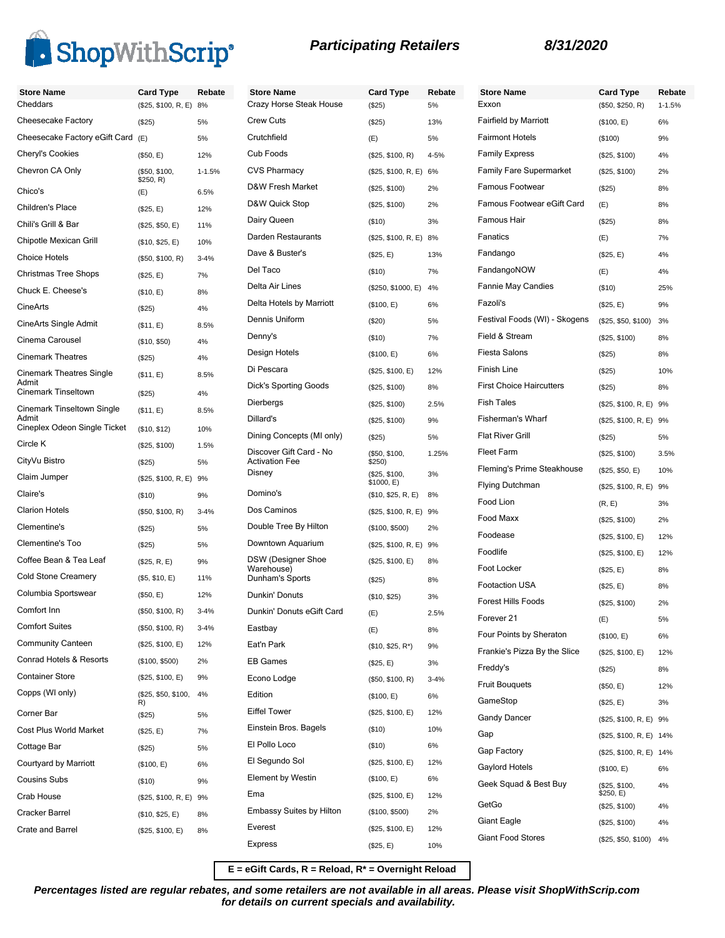

**Store Name Card Type Rebate**  $1 - 1.5%$ 

| <b>Store Name</b>                   | <b>Card Type</b>           | Rebate     | <b>Store Name</b>                       | <b>Card Type</b>        | Reb      |
|-------------------------------------|----------------------------|------------|-----------------------------------------|-------------------------|----------|
| Cheddars                            | (\$25, \$100, R, E) 8%     |            | Crazy Horse Steak House                 | (\$25)                  | 5%       |
| Cheesecake Factory                  | (\$25)                     | 5%         | <b>Crew Cuts</b>                        | (\$25)                  | 13%      |
| Cheesecake Factory eGift Card       | (E)                        | 5%         | Crutchfield                             | (E)                     | 5%       |
| <b>Cheryl's Cookies</b>             | (\$50, E)                  | 12%        | Cub Foods                               | (\$25, \$100, R)        | 4-5%     |
| Chevron CA Only                     | (\$50, \$100,<br>\$250, R) | $1 - 1.5%$ | <b>CVS Pharmacy</b>                     | (\$25, \$100, R, E) 6%  |          |
| Chico's                             | (E)                        | 6.5%       | D&W Fresh Market                        | (\$25, \$100)           | 2%       |
| Children's Place                    | (\$25, E)                  | 12%        | D&W Quick Stop                          | (\$25, \$100)           | 2%       |
| Chili's Grill & Bar                 | (\$25, \$50, E)            | 11%        | Dairy Queen                             | (\$10)                  | 3%       |
| Chipotle Mexican Grill              | (\$10, \$25, E)            | 10%        | Darden Restaurants                      | (\$25, \$100, R, E) 8%  |          |
| <b>Choice Hotels</b>                | (\$50, \$100, R)           | $3 - 4%$   | Dave & Buster's                         | (\$25, E)               | 13%      |
| <b>Christmas Tree Shops</b>         | (\$25, E)                  | 7%         | Del Taco                                | (\$10)                  | 7%       |
| Chuck E. Cheese's                   | (\$10, E)                  | 8%         | Delta Air Lines                         | (\$250, \$1000, E)      | 4%       |
| CineArts                            | (\$25)                     | 4%         | Delta Hotels by Marriott                | (\$100, E)              | 6%       |
| CineArts Single Admit               | (\$11, E)                  | 8.5%       | Dennis Uniform                          | (\$20)                  | 5%       |
| Cinema Carousel                     | (\$10, \$50)               | 4%         | Denny's                                 | (\$10)                  | 7%       |
| <b>Cinemark Theatres</b>            | (\$25)                     | 4%         | Design Hotels                           | (\$100, E)              | 6%       |
| <b>Cinemark Theatres Single</b>     | (\$11, E)                  | 8.5%       | Di Pescara                              | (\$25, \$100, E)        | 12%      |
| Admit<br><b>Cinemark Tinseltown</b> | (\$25)                     | 4%         | Dick's Sporting Goods                   | (\$25, \$100)           | 8%       |
| <b>Cinemark Tinseltown Single</b>   | (\$11, E)                  | 8.5%       | Dierbergs                               | (\$25, \$100)           | 2.5%     |
| Admit                               |                            |            | Dillard's                               | (\$25, \$100)           | 9%       |
| Cineplex Odeon Single Ticket        | (\$10, \$12)               | 10%        | Dining Concepts (MI only)               | (\$25)                  | 5%       |
| Circle K                            | (\$25, \$100)              | 1.5%       | Discover Gift Card - No                 | (\$50, \$100,           | 1.25%    |
| CityVu Bistro                       | (\$25)                     | 5%         | <b>Activation Fee</b><br>Disney         | \$250)<br>(\$25, \$100, | 3%       |
| Claim Jumper                        | (\$25, \$100, R, E) 9%     |            |                                         | \$1000, E)              |          |
| Claire's                            | (\$10)                     | 9%         | Domino's                                | (\$10, \$25, R, E)      | 8%       |
| <b>Clarion Hotels</b>               | (\$50, \$100, R)           | $3 - 4%$   | Dos Caminos                             | (\$25, \$100, R, E) 9%  |          |
| Clementine's                        | (\$25)                     | 5%         | Double Tree By Hilton                   | (\$100, \$500)          | 2%       |
| <b>Clementine's Too</b>             | (\$25)                     | 5%         | Downtown Aquarium                       | (\$25, \$100, R, E) 9%  |          |
| Coffee Bean & Tea Leaf              | (\$25, R, E)               | 9%         | <b>DSW</b> (Designer Shoe<br>Warehouse) | (\$25, \$100, E)        | 8%       |
| <b>Cold Stone Creamery</b>          | (\$5, \$10, E)             | 11%        | Dunham's Sports                         | (S25)                   | 8%       |
| Columbia Sportswear                 | (\$50, E)                  | 12%        | Dunkin' Donuts                          | (\$10, \$25)            | 3%       |
| Comfort Inn                         | (\$50, \$100, R)           | $3 - 4%$   | Dunkin' Donuts eGift Card               | (E)                     | 2.5%     |
| <b>Comfort Suites</b>               | (\$50, \$100, R)           | $3 - 4%$   | Eastbay                                 | (E)                     | 8%       |
| <b>Community Canteen</b>            | (\$25, \$100, E)           | 12%        | Eat'n Park                              | $($10, $25, R^*)$       | 9%       |
| Conrad Hotels & Resorts             | (\$100, \$500)             | 2%         | <b>EB Games</b>                         | (\$25, E)               | 3%       |
| <b>Container Store</b>              | (\$25, \$100, E)           | 9%         | Econo Lodge                             | (\$50, \$100, R)        | $3 - 4%$ |
| Copps (WI only)                     | (\$25, \$50, \$100,        | 4%         | Edition                                 | (\$100, E)              | 6%       |
| Corner Bar                          | R)<br>(\$25)               | 5%         | <b>Eiffel Tower</b>                     | (\$25, \$100, E)        | 12%      |
| Cost Plus World Market              | (\$25, E)                  | 7%         | Einstein Bros. Bagels                   | (\$10)                  | 10%      |
| Cottage Bar                         | (\$25)                     | 5%         | El Pollo Loco                           | (\$10)                  | 6%       |
| Courtyard by Marriott               | (\$100, E)                 | 6%         | El Segundo Sol                          | (\$25, \$100, E)        | 12%      |
| <b>Cousins Subs</b>                 | (\$10)                     | 9%         | <b>Element by Westin</b>                | (\$100, E)              | 6%       |
| Crab House                          | (\$25, \$100, R, E) 9%     |            | Ema                                     | (\$25, \$100, E)        | 12%      |
| Cracker Barrel                      | (\$10, \$25, E)            | 8%         | <b>Embassy Suites by Hilton</b>         | (\$100, \$500)          | 2%       |
| Crate and Barrel                    | (\$25, \$100, E)           |            | Everest                                 | (\$25, \$100, E)        | 12%      |
|                                     |                            | 8%         | Express                                 | (\$25, E)               | 10%      |
|                                     |                            |            |                                         |                         |          |

| ard Type∶             | Rebate   | <b>Store Name</b>               | <b>Card Type</b>           | Reb       |
|-----------------------|----------|---------------------------------|----------------------------|-----------|
| 525)                  | 5%       | Exxon                           | (\$50, \$250, R)           | $1 - 1.5$ |
| 525)                  | 13%      | <b>Fairfield by Marriott</b>    | (\$100, E)                 | 6%        |
| Ξ)                    | 5%       | <b>Fairmont Hotels</b>          | (\$100)                    | 9%        |
| \$25, \$100, R)       | 4-5%     | <b>Family Express</b>           | (\$25, \$100)              | 4%        |
| 325, \$100, R, E)     | 6%       | <b>Family Fare Supermarket</b>  | (\$25, \$100)              | 2%        |
| \$25, \$100)          | 2%       | Famous Footwear                 | (\$25)                     | 8%        |
| \$25, \$100)          | 2%       | Famous Footwear eGift Card      | (E)                        | 8%        |
| 510)                  | 3%       | Famous Hair                     | (\$25)                     | 8%        |
| \$25, \$100, R, E) 8% |          | Fanatics                        | (E)                        | 7%        |
| 325, E)               | 13%      | Fandango                        | (\$25, E)                  | 4%        |
| 510)                  | 7%       | FandangoNOW                     | (E)                        | 4%        |
| ኔ250, \$1000, E)      | 4%       | <b>Fannie May Candies</b>       | (\$10)                     | 25%       |
| \$100, E)             | 6%       | Fazoli's                        | (\$25, E)                  | 9%        |
| 520)                  | 5%       | Festival Foods (WI) - Skogens   | (\$25, \$50, \$100)        | 3%        |
| 510)                  | 7%       | Field & Stream                  | (\$25, \$100)              | 8%        |
| \$100, E)             | 6%       | <b>Fiesta Salons</b>            | (\$25)                     | 8%        |
| ኔ25, \$100, E)        | 12%      | Finish Line                     | (\$25)                     | 10%       |
| \$25, \$100)          | 8%       | <b>First Choice Haircutters</b> | (\$25)                     | 8%        |
| \$25, \$100)          | 2.5%     | <b>Fish Tales</b>               | (\$25, \$100, R, E) 9%     |           |
| \$25, \$100)          | 9%       | Fisherman's Wharf               | (\$25, \$100, R, E) 9%     |           |
| 525)                  | 5%       | <b>Flat River Grill</b>         | $(\$25)$                   | 5%        |
| \$50, \$100,          | 1.25%    | Fleet Farm                      | (\$25, \$100)              | 3.5%      |
| 250)<br>ኔ25, \$100,   | 3%       | Fleming's Prime Steakhouse      | (\$25, \$50, E)            | 10%       |
| 1000, E)              |          | <b>Flying Dutchman</b>          | (\$25, \$100, R, E)        | 9%        |
| ነ10, \$25, R, E)      | 8%       | Food Lion                       | (R, E)                     | 3%        |
| 325, \$100, R, E)     | 9%       | Food Maxx                       | (\$25, \$100)              | 2%        |
| \$100, \$500)         | 2%       | Foodease                        | (\$25, \$100, E)           | 12%       |
| ኔ25, \$100, R, E) 9%  |          | Foodlife                        | (\$25, \$100, E)           | 12%       |
| 325, \$100, E)        | 8%       | Foot Locker                     | (\$25, E)                  | 8%        |
| 325)                  | 8%       | <b>Footaction USA</b>           | (\$25, E)                  | 8%        |
| \$10, \$25)           | 3%       | Forest Hills Foods              | (\$25, \$100)              | 2%        |
| Ξ)                    | 2.5%     | Forever 21                      | (E)                        | 5%        |
| Ξ)                    | 8%       | Four Points by Sheraton         | (\$100, E)                 | 6%        |
| ነ10, \$25, R*)        | 9%       | Frankie's Pizza By the Slice    | (\$25, \$100, E)           | 12%       |
| 325, E)               | 3%       | Freddy's                        | (S25)                      | 8%        |
| 550, \$100, R)        | $3 - 4%$ | <b>Fruit Bouquets</b>           | (\$50, E)                  | 12%       |
| \$100, E)             | 6%       | GameStop                        | (\$25, E)                  | 3%        |
| \$25, \$100, E)       | 12%      | <b>Gandy Dancer</b>             | (\$25, \$100, R, E) 9%     |           |
| 510)                  | 10%      | Gap                             | (\$25, \$100, R, E) 14%    |           |
| 510)                  | 6%       | Gap Factory                     | (\$25, \$100, R, E) 14%    |           |
| \$25, \$100, E)       | 12%      | Gaylord Hotels                  | (\$100, E)                 | 6%        |
| \$100, E)             | 6%       | Geek Squad & Best Buy           | (\$25, \$100,              | 4%        |
| 325, \$100, E)        | 12%      | GetGo                           | \$250, E)<br>(\$25, \$100) | 4%        |
| \$100, \$500)         | 2%       | Giant Eagle                     | (\$25, \$100)              | 4%        |
| 325, \$100, E)        | 12%      | <b>Giant Food Stores</b>        |                            | 4%        |
| 525, E)               | 10%      |                                 | (\$25, \$50, \$100)        |           |

**E = eGift Cards, R = Reload, R\* = Overnight Reload**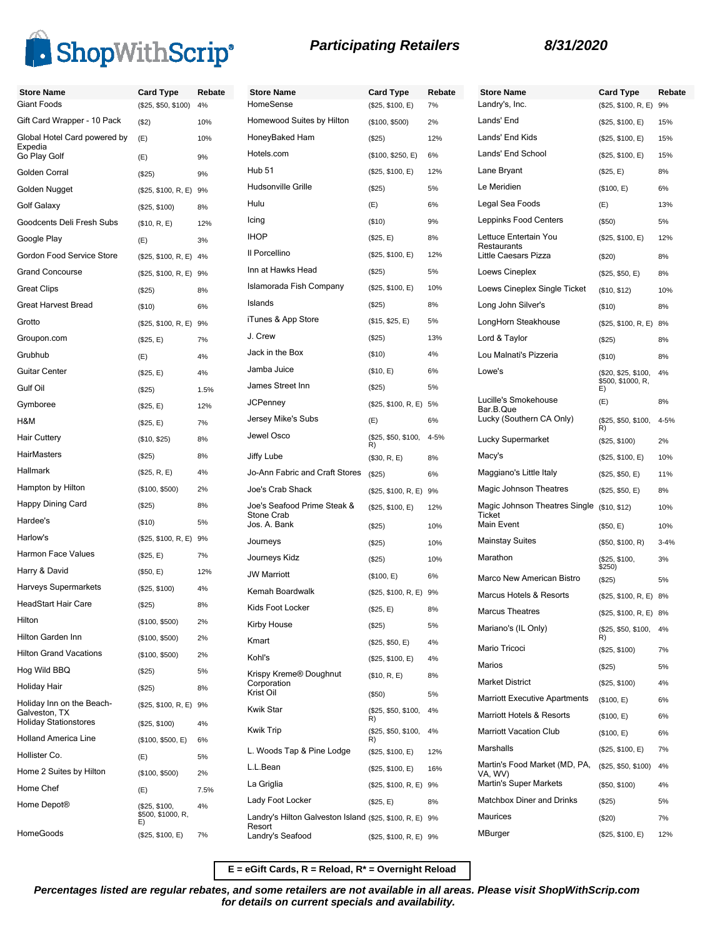

| <b>Store Name</b>                             | <b>Card Type</b>        | Rebate | Store Nam                  |
|-----------------------------------------------|-------------------------|--------|----------------------------|
| Giant Foods                                   | (\$25, \$50, \$100)     | 4%     | <b>HomeSense</b>           |
| Gift Card Wrapper - 10 Pack                   | ( \$2)                  | 10%    | Homewood                   |
| Global Hotel Card powered by<br>Expedia       | (E)                     | 10%    | HoneyBake                  |
| Go Play Golf                                  | (E)                     | 9%     | Hotels.com                 |
| Golden Corral                                 | (\$25)                  | 9%     | <b>Hub 51</b>              |
| Golden Nugget                                 | (\$25, \$100, R, E) 9%  |        | Hudsonville                |
| Golf Galaxy                                   | (\$25, \$100)           | 8%     | Hulu                       |
| Goodcents Deli Fresh Subs                     | (\$10, R, E)            | 12%    | Icing                      |
| Google Play                                   | (E)                     | 3%     | <b>IHOP</b>                |
| Gordon Food Service Store                     | (\$25, \$100, R, E)     | 4%     | Il Porcellino              |
| <b>Grand Concourse</b>                        | (\$25, \$100, R, E)     | 9%     | Inn at Hawk                |
| <b>Great Clips</b>                            | (S25)                   | 8%     | Islamorada                 |
| <b>Great Harvest Bread</b>                    | ( \$10)                 | 6%     | Islands                    |
| Grotto                                        | (\$25, \$100, R, E)     | 9%     | iTunes & Ar                |
| Groupon.com                                   | (\$25, E)               | 7%     | J. Crew                    |
| Grubhub                                       | (E)                     | 4%     | Jack in the I              |
| Guitar Center                                 | (\$25, E)               | 4%     | Jamba Juic                 |
| Gulf Oil                                      | (S25)                   | 1.5%   | James Stree                |
| Gymboree                                      | (\$25, E)               | 12%    | <b>JCPenney</b>            |
| H&M                                           | (\$25, E)               | 7%     | Jersey Mike                |
| <b>Hair Cuttery</b>                           | (\$10, \$25)            | 8%     | Jewel Osco                 |
| HairMasters                                   | (S25)                   | 8%     | Jiffy Lube                 |
| Hallmark                                      | (\$25, R, E)            | 4%     | Jo-Ann Fab                 |
| Hampton by Hilton                             | (\$100, \$500)          | 2%     | Joe's Crab !               |
| Happy Dining Card                             | (\$25)                  | 8%     | Joe's Seafo                |
| Hardee's                                      | $($ \$10)               | 5%     | Stone Crab<br>Jos. A. Banl |
| Harlow's                                      | (\$25, \$100, R, E)     | 9%     | Journeys                   |
| Harmon Face Values                            | (\$25, E)               | 7%     | Journeys Ki                |
| Harry & David                                 | (\$50, E)               | 12%    | <b>JW Marriott</b>         |
| Harveys Supermarkets                          | (\$25, \$100)           | 4%     | Kemah Boa                  |
| HeadStart Hair Care                           | (\$25)                  | 8%     | Kids Foot L                |
| Hilton                                        | (\$100, \$500)          | 2%     | Kirby House                |
| Hilton Garden Inn                             | (\$100, \$500)          | 2%     | Kmart                      |
| <b>Hilton Grand Vacations</b>                 | (\$100, \$500)          | 2%     | Kohl's                     |
| Hog Wild BBQ                                  | (S25)                   | 5%     | Krispy Krem                |
| Holiday Hair                                  | (\$25)                  | 8%     | Corporation                |
| Holiday Inn on the Beach-                     | (\$25, \$100, R, E) 9%  |        | Krist Oil                  |
| Galveston, TX<br><b>Holiday Stationstores</b> | (\$25, \$100)           | 4%     | <b>Kwik Star</b>           |
| <b>Holland America Line</b>                   | (\$100, \$500, E)       | 6%     | <b>Kwik Trip</b>           |
| Hollister Co.                                 | (E)                     | 5%     | L. Woods T                 |
| Home 2 Suites by Hilton                       | (\$100, \$500)          | 2%     | L.L.Bean                   |
| Home Chef                                     |                         | 7.5%   | La Griglia                 |
| Home Depot <sup>®</sup>                       | (E)<br>(\$25, \$100,    | 4%     | Lady Foot L                |
|                                               | \$500, \$1000, R,<br>E) |        | Landry's Hil               |

HomeGoods (\$25, \$100, E) 7%

# **Participating Retailers 8/31/2020**

| Store Name                                                       | <b>Card Type</b>          | Rebate   |
|------------------------------------------------------------------|---------------------------|----------|
| HomeSense                                                        | (\$25, \$100, E)          | 7%       |
| Homewood Suites by Hilton                                        | (\$100, \$500)            | 2%       |
| HoneyBaked Ham                                                   | (\$25)                    | 12%      |
| Hotels.com                                                       | (\$100, \$250, E)         | 6%       |
| Hub <sub>51</sub>                                                | (\$25, \$100, E)          | 12%      |
| Hudsonville Grille                                               | (\$25)                    | 5%       |
| Hulu                                                             | (E)                       | 6%       |
| Icing                                                            | (\$10)                    | 9%       |
| <b>IHOP</b>                                                      | (\$25, E)                 | 8%       |
| Il Porcellino                                                    | (\$25, \$100, E)          | 12%      |
| Inn at Hawks Head                                                | (S25)                     | 5%       |
| Islamorada Fish Company                                          | (\$25, \$100, E)          | 10%      |
| Islands                                                          | (S25)                     | 8%       |
| iTunes & App Store                                               | (\$15, \$25, E)           | 5%       |
| J. Crew                                                          | (\$25)                    | 13%      |
| Jack in the Box                                                  | (\$10)                    | 4%       |
| Jamba Juice                                                      | (\$10, E)                 | 6%       |
| James Street Inn                                                 | (\$25)                    | 5%       |
| JCPenney                                                         | (\$25, \$100, R, E)       | 5%       |
| Jersey Mike's Subs                                               | (E)                       | 6%       |
| Jewel Osco                                                       | (\$25, \$50, \$100,<br>R) | 4-5%     |
| Jiffy Lube                                                       | (\$30, R, E)              | 8%       |
| Jo-Ann Fabric and Craft Stores                                   | (\$25)                    | 6%       |
| Joe's Crab Shack                                                 | (\$25, \$100, R, E)       | 9%       |
| Joe's Seafood Prime Steak &<br><b>Stone Crab</b><br>Jos. A. Bank | (\$25, \$100, E)          | 12%      |
|                                                                  | $(\$25)$                  | 10%      |
| Journeys                                                         | (S25)                     | 10%      |
| Journeys Kidz<br><b>JW Marriott</b>                              | (\$25)                    | 10%      |
|                                                                  | (\$100, E)                | 6%       |
| Kemah Boardwalk                                                  | (\$25, \$100, R, E)       | 9%       |
| Kids Foot Locker                                                 | (\$25, E)                 | 8%       |
| Kirby House                                                      | $(\$25)$                  | 5%       |
| Kmart                                                            | (\$25, \$50, E)           | 4%       |
| Kohl's                                                           | (\$25, \$100, E)          | 4%       |
| Krispy Kreme® Doughnut<br>Corporation<br>Krist Oil               | (\$10, R, E)<br>(\$50)    | 8%<br>5% |
| <b>Kwik Star</b>                                                 | (\$25, \$50, \$100,       | 4%       |
| <b>Kwik Trip</b>                                                 | R)<br>(\$25, \$50, \$100, | 4%       |
| L. Woods Tap & Pine Lodge                                        | R)                        |          |
| L.L.Bean                                                         | (\$25, \$100, E)          | 12%      |
| La Griglia                                                       | (\$25, \$100, E)          | 16%      |
| Lady Foot Locker                                                 | (\$25, \$100, R, E)       | 9%       |
| Landry's Hilton Galveston Island (\$25, \$100, R, E)             | (\$25, E)                 | 8%       |
| Resort<br>Landry's Seafood                                       | (\$25, \$100, R, E) 9%    | 9%       |

| <b>Store Name</b><br>Landry's, Inc.                   | <b>Card Type</b><br>(\$25, \$100, R, E)        | Rebate<br>9% |
|-------------------------------------------------------|------------------------------------------------|--------------|
| Lands' End                                            | (\$25, \$100, E)                               | 15%          |
| Lands' End Kids                                       | (\$25, \$100, E)                               | 15%          |
| Lands' End School                                     | (\$25, \$100, E)                               | 15%          |
| Lane Bryant                                           | (\$25, E)                                      | 8%           |
| Le Meridien                                           | (\$100, E)                                     | 6%           |
| Legal Sea Foods                                       | (E)                                            | 13%          |
| Leppinks Food Centers                                 | $($ \$50)                                      | 5%           |
| Lettuce Entertain You                                 | (\$25, \$100, E)                               | 12%          |
| Restaurants<br>Little Caesars Pizza                   |                                                | 8%           |
| Loews Cineplex                                        | (\$20)                                         | 8%           |
| Loews Cineplex Single Ticket                          | (\$25, \$50, E)                                | 10%          |
| Long John Silver's                                    | (\$10, \$12)<br>(\$10)                         | 8%           |
| LongHorn Steakhouse                                   |                                                |              |
| Lord & Taylor                                         | (\$25, \$100, R, E)                            | 8%           |
| Lou Malnati's Pizzeria                                | $(\$25)$                                       | 8%<br>8%     |
| Lowe's                                                | (\$10)                                         |              |
|                                                       | (\$20, \$25, \$100,<br>\$500, \$1000, R,<br>E) | 4%           |
| Lucille's Smokehouse<br>Bar.B.Que                     | (E)                                            | 8%           |
| Lucky (Southern CA Only)                              | (\$25, \$50, \$100,<br>R)                      | 4-5%         |
| Lucky Supermarket                                     | (\$25, \$100)                                  | 2%           |
| Macy's                                                | (\$25, \$100, E)                               | 10%          |
| Maggiano's Little Italy                               | (\$25, \$50, E)                                | 11%          |
| Magic Johnson Theatres                                | (\$25, \$50, E)                                | 8%           |
| Magic Johnson Theatres Single<br>Ticket<br>Main Event | (\$10, \$12)                                   | 10%          |
| <b>Mainstay Suites</b>                                | (\$50, E)                                      | 10%          |
| Marathon                                              | (\$50, \$100, R)                               | $3 - 4%$     |
|                                                       | (\$25, \$100,<br>\$250)                        | 3%           |
| Marco New American Bistro                             | (\$25)                                         | 5%           |
| Marcus Hotels & Resorts                               | (\$25, \$100, R, E) 8%                         |              |
| Marcus Theatres                                       | (\$25, \$100, R, E) 8%                         |              |
| Mariano's (IL Only)                                   | (\$25, \$50, \$100,<br>R)                      | 4%           |
| Mario Tricoci                                         | (\$25, \$100)                                  | 7%           |
| Marios                                                | (\$25)                                         | 5%           |
| <b>Market District</b>                                | (\$25, \$100)                                  | 4%           |
| Marriott Executive Apartments                         | (\$100, E)                                     | 6%           |
| Marriott Hotels & Resorts                             | (\$100, E)                                     | 6%           |
| <b>Marriott Vacation Club</b>                         | (\$100, E)                                     | 6%           |
| Marshalls                                             | (\$25, \$100, E)                               | 7%           |
| Martin's Food Market (MD, PA,<br>VA, WV)              | (\$25, \$50, \$100)                            | 4%           |
| Martin's Super Markets                                | (\$50, \$100)                                  | 4%           |
| Matchbox Diner and Drinks                             | (\$25)                                         | 5%           |
| Maurices                                              | $(\$20)$                                       | 7%           |
| MBurger                                               | (\$25, \$100, E)                               | 12%          |

**E = eGift Cards, R = Reload, R\* = Overnight Reload**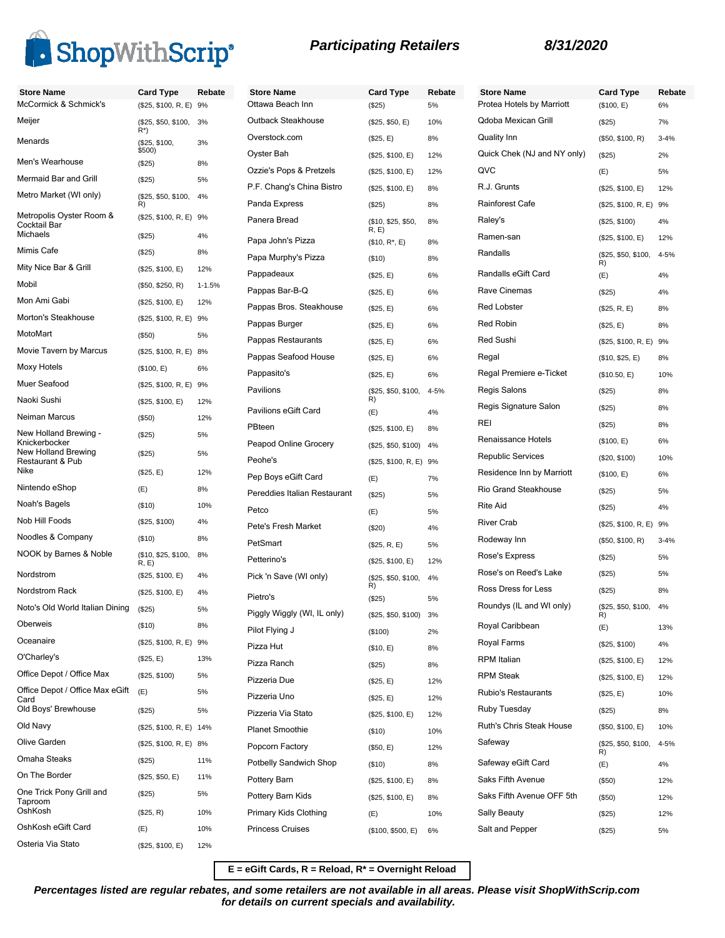

| <b>Store Name</b>                       | <b>Card Type</b>                           | Rebate     | <b>Store Name</b>            | <b>Card Type</b>           | Rebate    | <b>Store Name</b>                     | <b>Card Type</b>                        | Rebate      |
|-----------------------------------------|--------------------------------------------|------------|------------------------------|----------------------------|-----------|---------------------------------------|-----------------------------------------|-------------|
| McCormick & Schmick's                   | (\$25, \$100, R, E) 9%                     |            | Ottawa Beach Inn             | (\$25)                     | 5%        | Protea Hotels by Marriott             | (\$100, E)                              | 6%          |
| Meijer                                  | (\$25, \$50, \$100, 3%<br>$R^*$            |            | Outback Steakhouse           | (\$25, \$50, E)            | 10%       | <b>Qdoba Mexican Grill</b>            | (\$25)                                  | 7%          |
| Menards                                 | (\$25, \$100,                              | 3%         | Overstock.com                | (\$25, E)                  | 8%        | <b>Quality Inn</b>                    | (\$50, \$100, R)                        | $3 - 4%$    |
| Men's Wearhouse                         | \$500)<br>(\$25)                           | 8%         | Oyster Bah                   | (\$25, \$100, E)           | 12%       | Quick Chek (NJ and NY only)           | (\$25)                                  | 2%          |
| Mermaid Bar and Grill                   | (\$25)                                     | 5%         | Ozzie's Pops & Pretzels      | (\$25, \$100, E)           | 12%       | QVC                                   | (E)                                     | 5%          |
| Metro Market (WI only)                  | (\$25, \$50, \$100,                        | 4%         | P.F. Chang's China Bistro    | (\$25, \$100, E)           | 8%        | R.J. Grunts<br><b>Rainforest Cafe</b> | (\$25, \$100, E)                        | 12%         |
| Metropolis Oyster Room &                | R)<br>(\$25, \$100, R, E) 9%               |            | Panda Express                | (\$25)                     | 8%        |                                       | (\$25, \$100, R, E)                     | 9%          |
| Cocktail Bar<br>Michaels                | (\$25)                                     | 4%         | Panera Bread                 | (\$10, \$25, \$50,<br>R, E | 8%        | Raley's<br>Ramen-san                  | (\$25, \$100)                           | 4%          |
| Mimis Cafe                              | (\$25)                                     | 8%         | Papa John's Pizza            | $($10, R^*, E)$            | 8%        | Randalls                              | (\$25, \$100, E)<br>(\$25, \$50, \$100, | 12%<br>4-5% |
| Mity Nice Bar & Grill                   | (\$25, \$100, E)                           | 12%        | Papa Murphy's Pizza          | (\$10)                     | 8%        |                                       | R)                                      |             |
| Mobil                                   | (\$50, \$250, R)                           | $1 - 1.5%$ | Pappadeaux                   | (\$25, E)                  | 6%        | Randalls eGift Card                   | (E)                                     | 4%          |
| Mon Ami Gabi                            | (\$25, \$100, E)                           | 12%        | Pappas Bar-B-Q               | (\$25, E)                  | 6%        | Rave Cinemas                          | (\$25)                                  | 4%          |
| Morton's Steakhouse                     | (\$25, \$100, R, E) 9%                     |            | Pappas Bros. Steakhouse      | (\$25, E)                  | 6%        | <b>Red Lobster</b>                    | (\$25, R, E)                            | 8%          |
| MotoMart                                | (\$50)                                     | 5%         | Pappas Burger                | (\$25, E)                  | 6%        | <b>Red Robin</b>                      | (\$25, E)                               | 8%          |
| Movie Tavern by Marcus                  | (\$25, \$100, R, E) 8%                     |            | Pappas Restaurants           | (\$25, E)                  | 6%        | Red Sushi                             | (\$25, \$100, R, E) 9%                  |             |
| Moxy Hotels                             | (\$100, E)                                 | 6%         | Pappas Seafood House         | (\$25, E)                  | 6%        | Regal                                 | (\$10, \$25, E)                         | 8%          |
| Muer Seafood                            |                                            |            | Pappasito's                  | (\$25, E)                  | 6%        | Regal Premiere e-Ticket               | (\$10.50, E)                            | 10%         |
| Naoki Sushi                             | (\$25, \$100, R, E) 9%<br>(\$25, \$100, E) | 12%        | Pavilions                    | (\$25, \$50, \$100,<br>R)  | 4-5%      | Regis Salons                          | (\$25)                                  | 8%          |
| Neiman Marcus                           | (\$50)                                     | 12%        | Pavilions eGift Card         | (E)                        | 4%        | Regis Signature Salon                 | (\$25)                                  | 8%          |
| New Holland Brewing -                   | (\$25)                                     | 5%         | PBteen                       | (\$25, \$100, E)           | 8%        | REI                                   | (\$25)                                  | 8%          |
| Knickerbocker                           |                                            |            | Peapod Online Grocery        | $($25, $50, $100)$ 4%      |           | Renaissance Hotels                    | (\$100, E)                              | 6%          |
| New Holland Brewing<br>Restaurant & Pub | (\$25)                                     | 5%         | Peohe's                      | (\$25, \$100, R, E) 9%     |           | <b>Republic Services</b>              | (\$20, \$100)                           | 10%         |
| Nike                                    | (\$25, E)                                  | 12%        | Pep Boys eGift Card          | (E)                        | 7%        | Residence Inn by Marriott             | (\$100, E)                              | 6%          |
| Nintendo eShop                          | (E)                                        | 8%         | Pereddies Italian Restaurant | (\$25)                     | 5%        | Rio Grand Steakhouse                  | (\$25)                                  | 5%          |
| Noah's Bagels                           | ( \$10)                                    | 10%        | Petco                        | (E)                        | 5%        | <b>Rite Aid</b>                       | (\$25)                                  | 4%          |
| Nob Hill Foods                          | (\$25, \$100)                              | 4%         | Pete's Fresh Market          | (\$20)                     | 4%        | <b>River Crab</b>                     | (\$25, \$100, R, E) 9%                  |             |
| Noodles & Company                       | (\$10)                                     | 8%         | PetSmart                     | (\$25, R, E)               | 5%        | Rodeway Inn                           | (\$50, \$100, R)                        | $3 - 4%$    |
| NOOK by Barnes & Noble                  | (\$10, \$25, \$100,<br>R, E                | 8%         | Petterino's                  | (\$25, \$100, E)           | 12%       | Rose's Express                        | (\$25)                                  | 5%          |
| Nordstrom                               | (\$25, \$100, E)                           | 4%         | Pick 'n Save (WI only)       | (\$25, \$50, \$100,        | 4%        | Rose's on Reed's Lake                 | (\$25)                                  | 5%          |
| Nordstrom Rack                          | (\$25, \$100, E)                           | 4%         | Pietro's                     | R)<br>(\$25)               | 5%        | Ross Dress for Less                   | (\$25)                                  | 8%          |
| Noto's Old World Italian Dining         | (\$25)                                     | 5%         | Piggly Wiggly (WI, IL only)  | (\$25, \$50, \$100)        | 3%        | Roundys (IL and WI only)              | (\$25, \$50, \$100, 4%                  |             |
| Oberweis                                | (\$10)                                     | 8%         | Pilot Flying J               | (\$100)                    | 2%        | Royal Caribbean                       | (E)                                     | 13%         |
| Oceanaire                               | (\$25, \$100, R, E) 9%                     |            | Pizza Hut                    | (\$10, E)                  | 8%        | Royal Farms                           | (\$25, \$100)                           | 4%          |
| O'Charley's                             | (\$25, E)                                  | 13%        | Pizza Ranch                  | (\$25)                     | 8%        | <b>RPM</b> Italian                    | (\$25, \$100, E)                        | 12%         |
| Office Depot / Office Max               | (\$25, \$100)                              | 5%         | Pizzeria Due                 | (\$25, E)                  | 12%       | <b>RPM Steak</b>                      | (\$25, \$100, E)                        | 12%         |
| Office Depot / Office Max eGift         | (E)                                        | 5%         | Pizzeria Uno                 | (\$25, E)                  | 12%       | Rubio's Restaurants                   | (\$25, E)                               | 10%         |
| Card<br>Old Boys' Brewhouse             | (\$25)                                     | 5%         | Pizzeria Via Stato           | (\$25, \$100, E)           | 12%       | Ruby Tuesday                          | (\$25)                                  | 8%          |
| Old Navy                                | (\$25, \$100, R, E) 14%                    |            | <b>Planet Smoothie</b>       | (\$10)                     | 10%       | Ruth's Chris Steak House              | (\$50, \$100, E)                        | 10%         |
| Olive Garden                            | (\$25, \$100, R, E) 8%                     |            | Popcorn Factory              | (\$50, E)                  | 12%       | Safeway                               | (\$25, \$50, \$100,                     | 4-5%        |
| Omaha Steaks                            | (\$25)                                     | 11%        | Potbelly Sandwich Shop       | (\$10)                     | 8%        | Safeway eGift Card                    | R)<br>(E)                               | 4%          |
| On The Border                           | (\$25, \$50, E)                            | 11%        | Pottery Barn                 |                            |           | Saks Fifth Avenue                     |                                         |             |
| One Trick Pony Grill and                | (\$25)                                     | 5%         | Pottery Barn Kids            | (\$25, \$100, E)           | 8%        | Saks Fifth Avenue OFF 5th             | (\$50)                                  | 12%         |
| Taproom<br>OshKosh                      | (\$25, R)                                  | 10%        | Primary Kids Clothing        | (\$25, \$100, E)           | 8%<br>10% | Sally Beauty                          | (\$50)                                  | 12%<br>12%  |
| OshKosh eGift Card                      | (E)                                        | 10%        | <b>Princess Cruises</b>      | (E)                        |           | Salt and Pepper                       | (\$25)                                  | 5%          |
| Osteria Via Stato                       | (\$25, \$100, E)                           | 12%        |                              | (\$100, \$500, E)          | 6%        |                                       | (\$25)                                  |             |
|                                         |                                            |            |                              |                            |           |                                       |                                         |             |

**E = eGift Cards, R = Reload, R\* = Overnight Reload**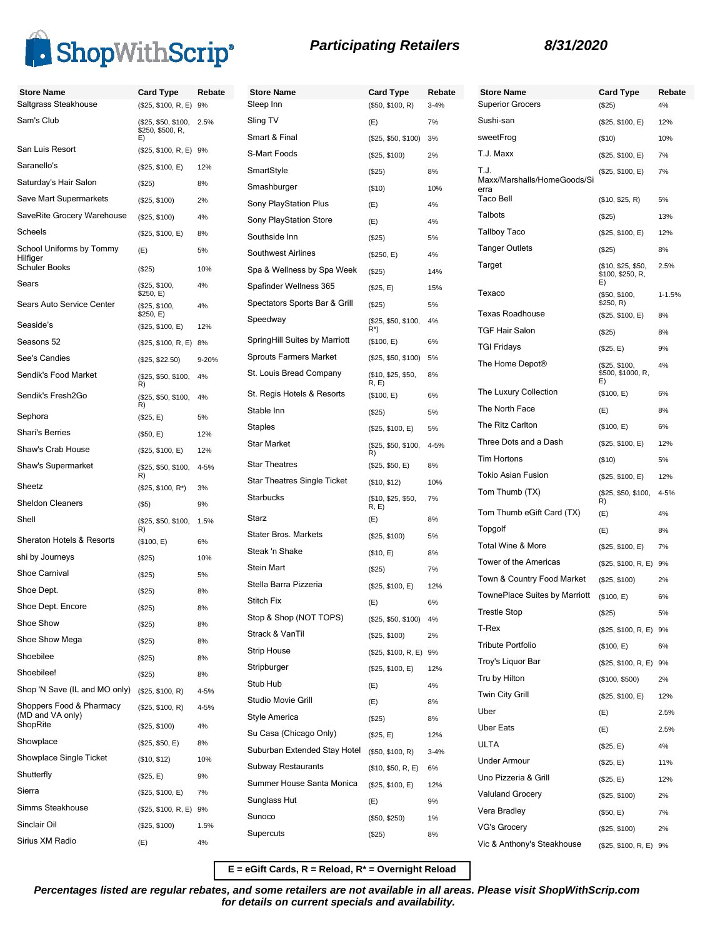

| <b>Store Name</b>                    | <b>Card Type</b>                        | Rebate | <b>Store Name</b>                  | <b>Card Type</b>            | Rebate   |
|--------------------------------------|-----------------------------------------|--------|------------------------------------|-----------------------------|----------|
| Saltgrass Steakhouse                 | (\$25, \$100, R, E) 9%                  |        | Sleep Inn                          | (\$50, \$100, R)            | $3 - 4%$ |
| Sam's Club                           | (\$25, \$50, \$100,<br>\$250, \$500, R, | 2.5%   | Sling TV                           | (E)                         | 7%       |
|                                      | E)                                      |        | Smart & Final                      | (\$25, \$50, \$100)         | 3%       |
| San Luis Resort                      | (\$25, \$100, R, E) 9%                  |        | S-Mart Foods                       | (\$25, \$100)               | 2%       |
| Saranello's                          | (\$25, \$100, E)                        | 12%    | SmartStyle                         | (\$25)                      | 8%       |
| Saturday's Hair Salon                | (\$25)                                  | 8%     | Smashburger                        | (\$10)                      | 10%      |
| Save Mart Supermarkets               | (\$25, \$100)                           | 2%     | Sony PlayStation Plus              | (E)                         | 4%       |
| SaveRite Grocery Warehouse           | (\$25, \$100)                           | 4%     | Sony PlayStation Store             | (E)                         | 4%       |
| Scheels                              | (\$25, \$100, E)                        | 8%     | Southside Inn                      | (\$25)                      | 5%       |
| School Uniforms by Tommy<br>Hilfiger | (E)                                     | 5%     | Southwest Airlines                 | (\$250, E)                  | 4%       |
| <b>Schuler Books</b>                 | (\$25)                                  | 10%    | Spa & Wellness by Spa Week         | (\$25)                      | 14%      |
| Sears                                | (\$25, \$100,<br>\$250, E)              | 4%     | Spafinder Wellness 365             | (\$25, E)                   | 15%      |
| Sears Auto Service Center            | (\$25, \$100,<br>\$250, E)              | 4%     | Spectators Sports Bar & Grill      | (\$25)                      | 5%       |
| Seaside's                            | (\$25, \$100, E)                        | 12%    | Speedway                           | (\$25, \$50, \$100,<br>R*)  | 4%       |
| Seasons 52                           | (\$25, \$100, R, E) 8%                  |        | SpringHill Suites by Marriott      | (\$100, E)                  | 6%       |
| See's Candies                        | (\$25, \$22.50)                         | 9-20%  | <b>Sprouts Farmers Market</b>      | (\$25, \$50, \$100)         | 5%       |
| Sendik's Food Market                 | (\$25, \$50, \$100,<br>R)               | 4%     | St. Louis Bread Company            | (\$10, \$25, \$50,<br>R, E) | 8%       |
| Sendik's Fresh2Go                    | (\$25, \$50, \$100,                     | 4%     | St. Regis Hotels & Resorts         | (\$100, E)                  | 6%       |
| Sephora                              | R)<br>(\$25, E)                         | 5%     | Stable Inn                         | (\$25)                      | 5%       |
| <b>Shari's Berries</b>               | (\$50, E)                               | 12%    | <b>Staples</b>                     | (\$25, \$100, E)            | 5%       |
| Shaw's Crab House                    | (\$25, \$100, E)                        | 12%    | <b>Star Market</b>                 | (\$25, \$50, \$100,<br>R)   | 4-5%     |
| Shaw's Supermarket                   | (\$25, \$50, \$100,<br>R)               | 4-5%   | <b>Star Theatres</b>               | (\$25, \$50, E)             | 8%       |
| Sheetz                               | $($25, $100, R^*)$                      | 3%     | <b>Star Theatres Single Ticket</b> | (\$10, \$12)                | 10%      |
| <b>Sheldon Cleaners</b>              | (\$5)                                   | 9%     | <b>Starbucks</b>                   | (\$10, \$25, \$50,<br>R, E) | 7%       |
| Shell                                | (\$25, \$50, \$100,                     | 1.5%   | Starz                              | (E)                         | 8%       |
| Sheraton Hotels & Resorts            | R)<br>(\$100, E)                        | 6%     | Stater Bros. Markets               | (\$25, \$100)               | 5%       |
| shi by Journeys                      | (S25)                                   | 10%    | Steak 'n Shake                     | (\$10, E)                   | 8%       |
| Shoe Carnival                        | (\$25)                                  | 5%     | Stein Mart                         | (\$25)                      | 7%       |
| Shoe Dept.                           | (\$25)                                  | 8%     | Stella Barra Pizzeria              | (\$25, \$100, E)            | 12%      |
| Shoe Dept. Encore                    | (\$25)                                  | 8%     | Stitch Fix                         | (E)                         | 6%       |
| Shoe Show                            | (\$25)                                  | 8%     | Stop & Shop (NOT TOPS)             | (\$25, \$50, \$100)         | 4%       |
| Shoe Show Mega                       | (\$25)                                  | 8%     | Strack & VanTil                    | (\$25, \$100)               | 2%       |
| Shoebilee                            | (\$25)                                  | 8%     | <b>Strip House</b>                 | (\$25, \$100, R, E) 9%      |          |
| Shoebilee!                           | (\$25)                                  | 8%     | Stripburger                        | (\$25, \$100, E)            | 12%      |
| Shop 'N Save (IL and MO only)        | (\$25, \$100, R)                        | 4-5%   | Stub Hub                           | (E)                         | 4%       |
| Shoppers Food & Pharmacy             | (\$25, \$100, R)                        | 4-5%   | Studio Movie Grill                 | (E)                         | 8%       |
| (MD and VA only)<br>ShopRite         | (\$25, \$100)                           | 4%     | Style America                      | $(\$25)$                    | 8%       |
| Showplace                            | (\$25, \$50, E)                         | 8%     | Su Casa (Chicago Only)             | (\$25, E)                   | 12%      |
| Showplace Single Ticket              | (\$10, \$12)                            | 10%    | Suburban Extended Stay Hotel       | (\$50, \$100, R)            | $3 - 4%$ |
| Shutterfly                           | (\$25, E)                               | 9%     | <b>Subway Restaurants</b>          | (\$10, \$50, R, E)          | 6%       |
| Sierra                               | (\$25, \$100, E)                        | 7%     | Summer House Santa Monica          | (\$25, \$100, E)            | 12%      |
| Simms Steakhouse                     | (\$25, \$100, R, E) 9%                  |        | Sunglass Hut                       | (E)                         | 9%       |
| Sinclair Oil                         | (\$25, \$100)                           | 1.5%   | Sunoco                             | (\$50, \$250)               | 1%       |
| Sirius XM Radio                      |                                         | 4%     | Supercuts                          | (\$25)                      | 8%       |
|                                      | (E)                                     |        |                                    |                             |          |

| <b>Store Name</b><br><b>Superior Grocers</b> | <b>Card Type</b>                             | Rebate<br>4% |
|----------------------------------------------|----------------------------------------------|--------------|
| Sushi-san                                    | (\$25)<br>(\$25, \$100, E)                   | 12%          |
| sweetFrog                                    | (\$10)                                       | 10%          |
| T.J. Maxx                                    | (\$25, \$100, E)                             | 7%           |
| T.J.                                         | (\$25, \$100, E)                             | 7%           |
| Maxx/Marshalls/HomeGoods/Si<br>erra          |                                              |              |
| Taco Bell                                    | (\$10, \$25, R)                              | 5%           |
| Talbots                                      | (\$25)                                       | 13%          |
| Tallboy Taco                                 | (\$25, \$100, E)                             | 12%          |
| <b>Tanger Outlets</b>                        | (\$25)                                       | 8%           |
| Target                                       | (\$10, \$25, \$50,<br>\$100, \$250, R,<br>E) | 2.5%         |
| Texaco                                       | (\$50, \$100,<br>\$250, R)                   | $1 - 1.5%$   |
| <b>Texas Roadhouse</b>                       | (\$25, \$100, E)                             | 8%           |
| <b>TGF Hair Salon</b>                        | (\$25)                                       | 8%           |
| TGI Fridays                                  | (\$25, E)                                    | 9%           |
| The Home Depot <sup>®</sup>                  | (\$25, \$100,<br>\$500, \$1000, R,<br>E)     | 4%           |
| The Luxury Collection                        | (\$100, E)                                   | 6%           |
| The North Face                               | (E)                                          | 8%           |
| The Ritz Carlton                             | (\$100, E)                                   | 6%           |
| Three Dots and a Dash                        | (\$25, \$100, E)                             | 12%          |
| <b>Tim Hortons</b>                           | (\$10)                                       | 5%           |
| <b>Tokio Asian Fusion</b>                    | (\$25, \$100, E)                             | 12%          |
| Tom Thumb (TX)                               | (\$25, \$50, \$100,<br>R)                    | 4-5%         |
| Tom Thumb eGift Card (TX)                    | (E)                                          | 4%           |
| Topgolf                                      | (E)                                          | 8%           |
| <b>Total Wine &amp; More</b>                 | (\$25, \$100, E)                             | 7%           |
| Tower of the Americas                        | (\$25, \$100, R, E)                          | 9%           |
| Town & Country Food Market                   | (\$25, \$100)                                | 2%           |
| TownePlace Suites by Marriott                | (\$100, E)                                   | 6%           |
| <b>Trestle Stop</b>                          | (\$25)                                       | 5%           |
| T-Rex                                        | (\$25, \$100, R, E)                          | 9%           |
| <b>Tribute Portfolio</b>                     | (\$100, E)                                   | 6%           |
| Troy's Liquor Bar                            | (\$25, \$100, R, E) 9%                       |              |
| Tru by Hilton                                | (\$100, \$500)                               | 2%           |
| <b>Twin City Grill</b>                       | (\$25, \$100, E)                             | 12%          |
| Uber                                         | (E)                                          | 2.5%         |
| <b>Uber Eats</b>                             | (E)                                          | 2.5%         |
| <b>ULTA</b>                                  | (\$25, E)                                    | 4%           |
| <b>Under Armour</b>                          | (\$25, E)                                    | 11%          |
| Uno Pizzeria & Grill                         | (\$25, E)                                    | 12%          |
| <b>Valuland Grocery</b>                      | (\$25, \$100)                                | 2%           |
| Vera Bradley                                 | (\$50, E)                                    | 7%           |
| <b>VG's Grocery</b>                          | (\$25, \$100)                                | 2%           |
| Vic & Anthony's Steakhouse                   | (\$25, \$100, R, E) 9%                       |              |

**E = eGift Cards, R = Reload, R\* = Overnight Reload**